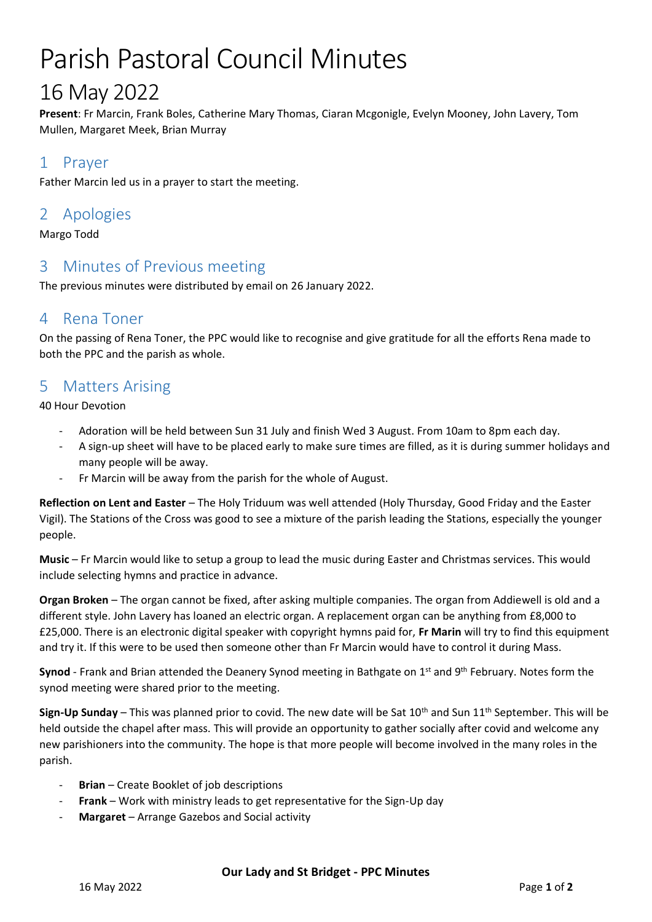# Parish Pastoral Council Minutes

## 16 May 2022

**Present**: Fr Marcin, Frank Boles, Catherine Mary Thomas, Ciaran Mcgonigle, Evelyn Mooney, John Lavery, Tom Mullen, Margaret Meek, Brian Murray

#### 1 Prayer

Father Marcin led us in a prayer to start the meeting.

#### 2 Apologies

Margo Todd

#### 3 Minutes of Previous meeting

The previous minutes were distributed by email on 26 January 2022.

#### 4 Rena Toner

On the passing of Rena Toner, the PPC would like to recognise and give gratitude for all the efforts Rena made to both the PPC and the parish as whole.

#### 5 Matters Arising

40 Hour Devotion

- Adoration will be held between Sun 31 July and finish Wed 3 August. From 10am to 8pm each day.
- A sign-up sheet will have to be placed early to make sure times are filled, as it is during summer holidays and many people will be away.
- Fr Marcin will be away from the parish for the whole of August.

**Reflection on Lent and Easter** – The Holy Triduum was well attended (Holy Thursday, Good Friday and the Easter Vigil). The Stations of the Cross was good to see a mixture of the parish leading the Stations, especially the younger people.

**Music** – Fr Marcin would like to setup a group to lead the music during Easter and Christmas services. This would include selecting hymns and practice in advance.

**Organ Broken** – The organ cannot be fixed, after asking multiple companies. The organ from Addiewell is old and a different style. John Lavery has loaned an electric organ. A replacement organ can be anything from £8,000 to £25,000. There is an electronic digital speaker with copyright hymns paid for, **Fr Marin** will try to find this equipment and try it. If this were to be used then someone other than Fr Marcin would have to control it during Mass.

Synod - Frank and Brian attended the Deanery Synod meeting in Bathgate on 1<sup>st</sup> and 9<sup>th</sup> February. Notes form the synod meeting were shared prior to the meeting.

**Sign-Up Sunday** – This was planned prior to covid. The new date will be Sat 10<sup>th</sup> and Sun 11<sup>th</sup> September. This will be held outside the chapel after mass. This will provide an opportunity to gather socially after covid and welcome any new parishioners into the community. The hope is that more people will become involved in the many roles in the parish.

- **Brian** Create Booklet of job descriptions
- **Frank** Work with ministry leads to get representative for the Sign-Up day
- Margaret Arrange Gazebos and Social activity